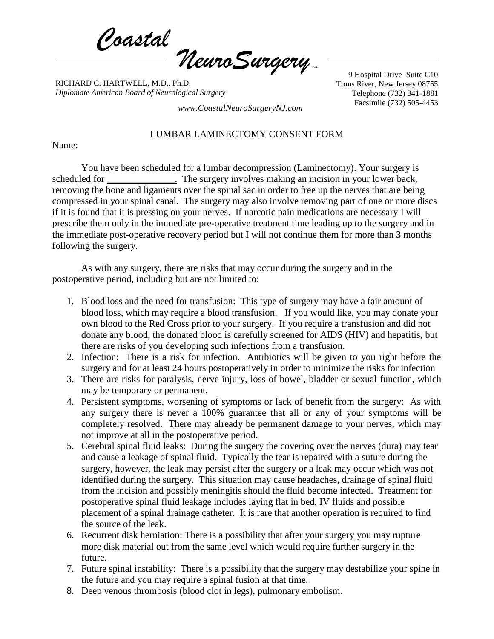*Coastal*  $\eta$ euroSurgery

RICHARD C. HARTWELL, M.D., Ph.D. *Diplomate American Board of Neurological Surgery*

9 Hospital Drive Suite C10 Toms River, New Jersey 08755 Telephone (732) 341-1881 Facsimile (732) 505-4453 *www.CoastalNeuroSurgeryNJ.com*

## LUMBAR LAMINECTOMY CONSENT FORM

Name:

You have been scheduled for a lumbar decompression (Laminectomy). Your surgery is scheduled for \_\_\_\_\_\_\_\_\_\_\_\_\_. The surgery involves making an incision in your lower back, removing the bone and ligaments over the spinal sac in order to free up the nerves that are being compressed in your spinal canal. The surgery may also involve removing part of one or more discs if it is found that it is pressing on your nerves. If narcotic pain medications are necessary I will prescribe them only in the immediate pre-operative treatment time leading up to the surgery and in the immediate post-operative recovery period but I will not continue them for more than 3 months following the surgery.

As with any surgery, there are risks that may occur during the surgery and in the postoperative period, including but are not limited to:

- 1. Blood loss and the need for transfusion: This type of surgery may have a fair amount of blood loss, which may require a blood transfusion. If you would like, you may donate your own blood to the Red Cross prior to your surgery. If you require a transfusion and did not donate any blood, the donated blood is carefully screened for AIDS (HIV) and hepatitis, but there are risks of you developing such infections from a transfusion.
- 2. Infection: There is a risk for infection. Antibiotics will be given to you right before the surgery and for at least 24 hours postoperatively in order to minimize the risks for infection
- 3. There are risks for paralysis, nerve injury, loss of bowel, bladder or sexual function, which may be temporary or permanent.
- 4. Persistent symptoms, worsening of symptoms or lack of benefit from the surgery: As with any surgery there is never a 100% guarantee that all or any of your symptoms will be completely resolved. There may already be permanent damage to your nerves, which may not improve at all in the postoperative period.
- 5. Cerebral spinal fluid leaks: During the surgery the covering over the nerves (dura) may tear and cause a leakage of spinal fluid. Typically the tear is repaired with a suture during the surgery, however, the leak may persist after the surgery or a leak may occur which was not identified during the surgery. This situation may cause headaches, drainage of spinal fluid from the incision and possibly meningitis should the fluid become infected. Treatment for postoperative spinal fluid leakage includes laying flat in bed, IV fluids and possible placement of a spinal drainage catheter. It is rare that another operation is required to find the source of the leak.
- 6. Recurrent disk herniation: There is a possibility that after your surgery you may rupture more disk material out from the same level which would require further surgery in the future.
- 7. Future spinal instability: There is a possibility that the surgery may destabilize your spine in the future and you may require a spinal fusion at that time.
- 8. Deep venous thrombosis (blood clot in legs), pulmonary embolism.